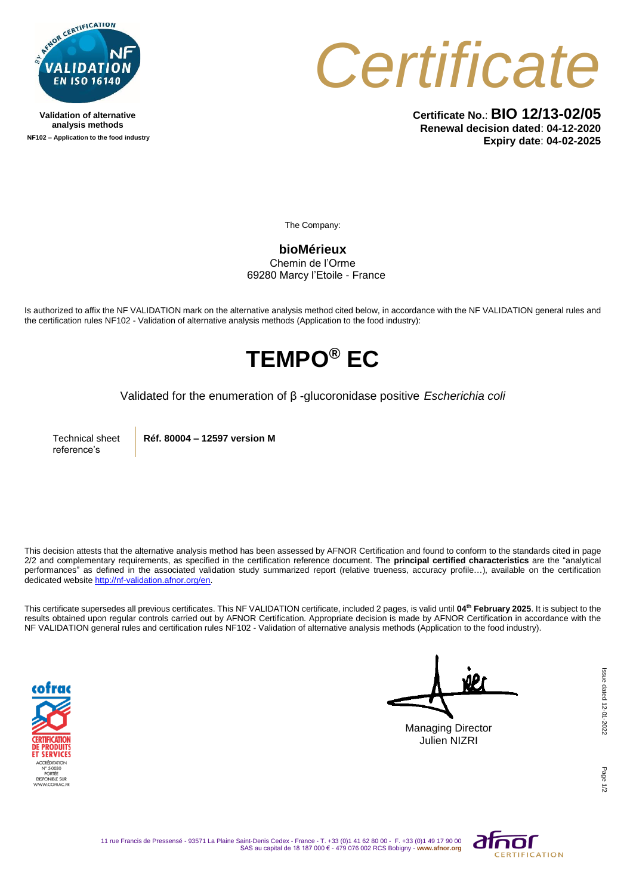

**Validation of alternative analysis methods NF102 – Application to the food industry**



**Certificate No.**: **BIO 12/13-02/05 Renewal decision dated**: **04-12-2020 Expiry date**: **04-02-2025**

The Company:

**bioMérieux** Chemin de l'Orme 69280 Marcy l'Etoile - France

Is authorized to affix the NF VALIDATION mark on the alternative analysis method cited below, in accordance with the NF VALIDATION general rules and the certification rules NF102 - Validation of alternative analysis methods (Application to the food industry):

## **TEMPO® EC**

Validated for the enumeration of β -glucoronidase positive *Escherichia coli*

Technical sheet reference's

**Réf. 80004 – 12597 version M** 

This decision attests that the alternative analysis method has been assessed by AFNOR Certification and found to conform to the standards cited in page 2/2 and complementary requirements, as specified in the certification reference document. The **principal certified characteristics** are the "analytical performances" as defined in the associated validation study summarized report (relative trueness, accuracy profile…), available on the certification dedicated websit[e http://nf-validation.afnor.org/en.](http://nf-validation.afnor.org/en)

This certificate supersedes all previous certificates. This NF VALIDATION certificate, included 2 pages, is valid until **04th February 2025**. It is subject to the results obtained upon regular controls carried out by AFNOR Certification. Appropriate decision is made by AFNOR Certification in accordance with the NF VALIDATION general rules and certification rules NF102 - Validation of alternative analysis methods (Application to the food industry).



Managing Director Julien NIZRI

Page